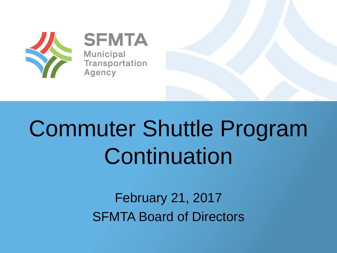

**SFMTA Municipal** Transportation Agency

# Commuter Shuttle Program **Continuation**

February 21, 2017 SFMTA Board of Directors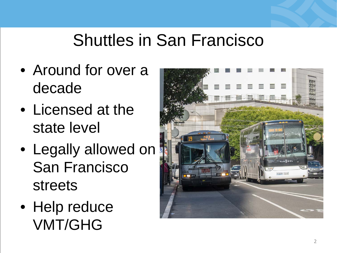## Shuttles in San Francisco

- Around for over a decade
- Licensed at the state level
- Legally allowed on San Francisco streets
- Help reduce VMT/GHG

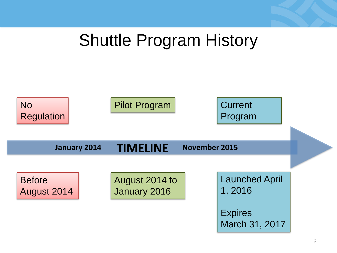#### Shuttle Program History

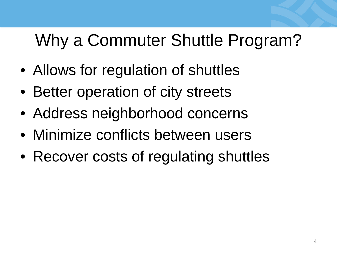# Why a Commuter Shuttle Program?

- Allows for regulation of shuttles
- Better operation of city streets
- Address neighborhood concerns
- Minimize conflicts between users
- Recover costs of regulating shuttles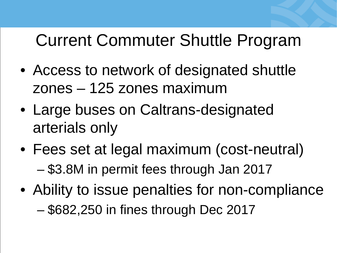## Current Commuter Shuttle Program

- Access to network of designated shuttle zones – 125 zones maximum
- Large buses on Caltrans-designated arterials only
- Fees set at legal maximum (cost-neutral) – \$3.8M in permit fees through Jan 2017
- Ability to issue penalties for non-compliance – \$682,250 in fines through Dec 2017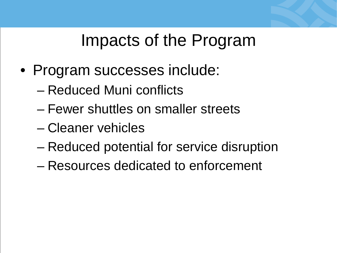#### Impacts of the Program

- Program successes include:
	- Reduced Muni conflicts
	- Fewer shuttles on smaller streets
	- Cleaner vehicles
	- Reduced potential for service disruption
	- Resources dedicated to enforcement